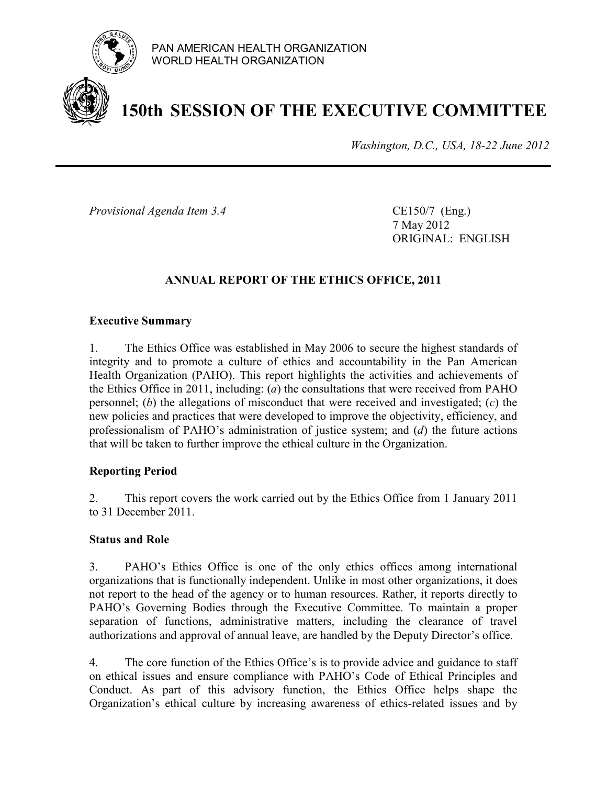

# **150th SESSION OF THE EXECUTIVE COMMITTEE**

*Washington, D.C., USA, 18-22 June 2012*

*Provisional Agenda Item 3.4* CE150/7 (Eng.)

7 May 2012 ORIGINAL: ENGLISH

# **ANNUAL REPORT OF THE ETHICS OFFICE, 2011**

#### **Executive Summary**

1. The Ethics Office was established in May 2006 to secure the highest standards of integrity and to promote a culture of ethics and accountability in the Pan American Health Organization (PAHO). This report highlights the activities and achievements of the Ethics Office in 2011, including: (*a*) the consultations that were received from PAHO personnel; (*b*) the allegations of misconduct that were received and investigated; (*c*) the new policies and practices that were developed to improve the objectivity, efficiency, and professionalism of PAHO's administration of justice system; and (*d*) the future actions that will be taken to further improve the ethical culture in the Organization.

#### **Reporting Period**

2. This report covers the work carried out by the Ethics Office from 1 January 2011 to 31 December 2011.

#### **Status and Role**

3. PAHO's Ethics Office is one of the only ethics offices among international organizations that is functionally independent. Unlike in most other organizations, it does not report to the head of the agency or to human resources. Rather, it reports directly to PAHO's Governing Bodies through the Executive Committee. To maintain a proper separation of functions, administrative matters, including the clearance of travel authorizations and approval of annual leave, are handled by the Deputy Director's office.

4. The core function of the Ethics Office's is to provide advice and guidance to staff on ethical issues and ensure compliance with PAHO's Code of Ethical Principles and Conduct. As part of this advisory function, the Ethics Office helps shape the Organization's ethical culture by increasing awareness of ethics-related issues and by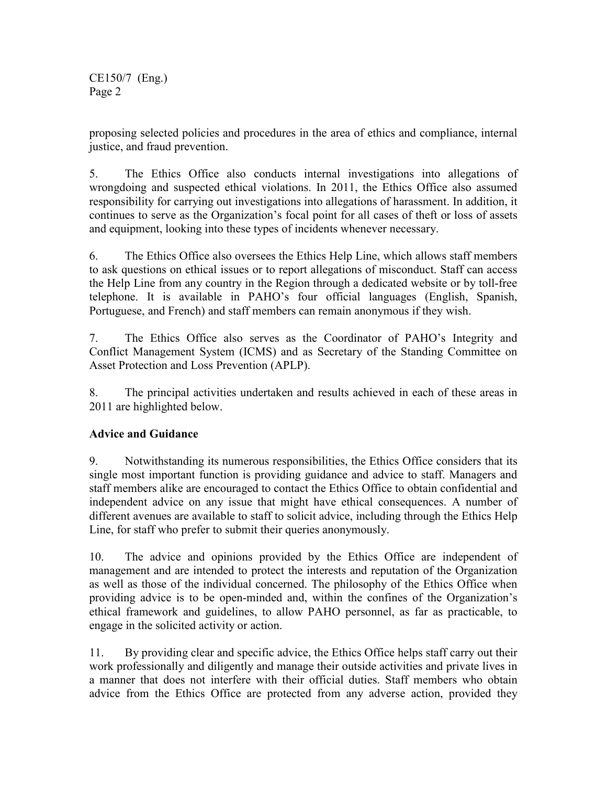proposing selected policies and procedures in the area of ethics and compliance, internal justice, and fraud prevention.

5. The Ethics Office also conducts internal investigations into allegations of wrongdoing and suspected ethical violations. In 2011, the Ethics Office also assumed responsibility for carrying out investigations into allegations of harassment. In addition, it continues to serve as the Organization's focal point for all cases of theft or loss of assets and equipment, looking into these types of incidents whenever necessary.

6. The Ethics Office also oversees the Ethics Help Line, which allows staff members to ask questions on ethical issues or to report allegations of misconduct. Staff can access the Help Line from any country in the Region through a dedicated website or by toll-free telephone. It is available in PAHO's four official languages (English, Spanish, Portuguese, and French) and staff members can remain anonymous if they wish.

7. The Ethics Office also serves as the Coordinator of PAHO's Integrity and Conflict Management System (ICMS) and as Secretary of the Standing Committee on Asset Protection and Loss Prevention (APLP).

8. The principal activities undertaken and results achieved in each of these areas in 2011 are highlighted below.

# **Advice and Guidance**

9. Notwithstanding its numerous responsibilities, the Ethics Office considers that its single most important function is providing guidance and advice to staff. Managers and staff members alike are encouraged to contact the Ethics Office to obtain confidential and independent advice on any issue that might have ethical consequences. A number of different avenues are available to staff to solicit advice, including through the Ethics Help Line, for staff who prefer to submit their queries anonymously.

10. The advice and opinions provided by the Ethics Office are independent of management and are intended to protect the interests and reputation of the Organization as well as those of the individual concerned. The philosophy of the Ethics Office when providing advice is to be open-minded and, within the confines of the Organization's ethical framework and guidelines, to allow PAHO personnel, as far as practicable, to engage in the solicited activity or action.

11. By providing clear and specific advice, the Ethics Office helps staff carry out their work professionally and diligently and manage their outside activities and private lives in a manner that does not interfere with their official duties. Staff members who obtain advice from the Ethics Office are protected from any adverse action, provided they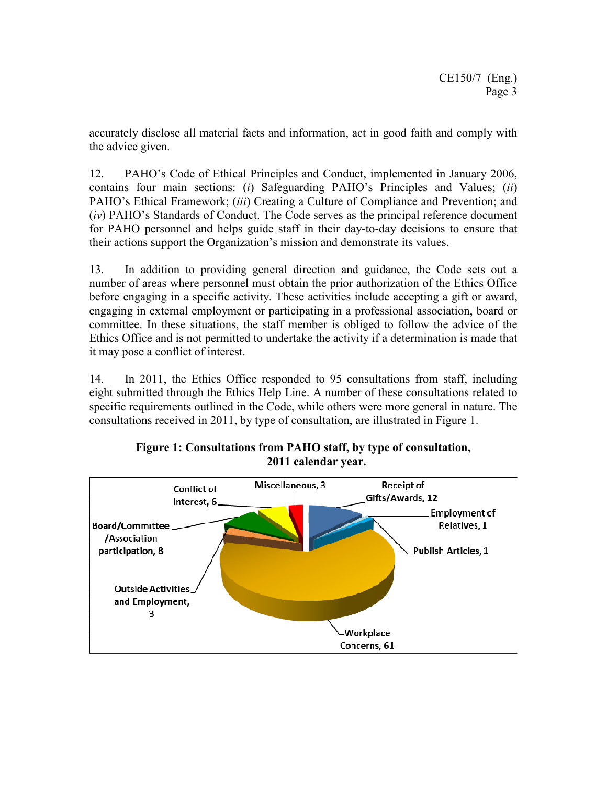accurately disclose all material facts and information, act in good faith and comply with the advice given.

12. PAHO's Code of Ethical Principles and Conduct, implemented in January 2006, contains four main sections: (*i*) Safeguarding PAHO's Principles and Values; (*ii*) PAHO's Ethical Framework; (*iii*) Creating a Culture of Compliance and Prevention; and (*iv*) PAHO's Standards of Conduct. The Code serves as the principal reference document for PAHO personnel and helps guide staff in their day-to-day decisions to ensure that their actions support the Organization's mission and demonstrate its values.

13. In addition to providing general direction and guidance, the Code sets out a number of areas where personnel must obtain the prior authorization of the Ethics Office before engaging in a specific activity. These activities include accepting a gift or award, engaging in external employment or participating in a professional association, board or committee. In these situations, the staff member is obliged to follow the advice of the Ethics Office and is not permitted to undertake the activity if a determination is made that it may pose a conflict of interest.

14. In 2011, the Ethics Office responded to 95 consultations from staff, including eight submitted through the Ethics Help Line. A number of these consultations related to specific requirements outlined in the Code, while others were more general in nature. The consultations received in 2011, by type of consultation, are illustrated in Figure 1.



**Figure 1: Consultations from PAHO staff, by type of consultation, 2011 calendar year.**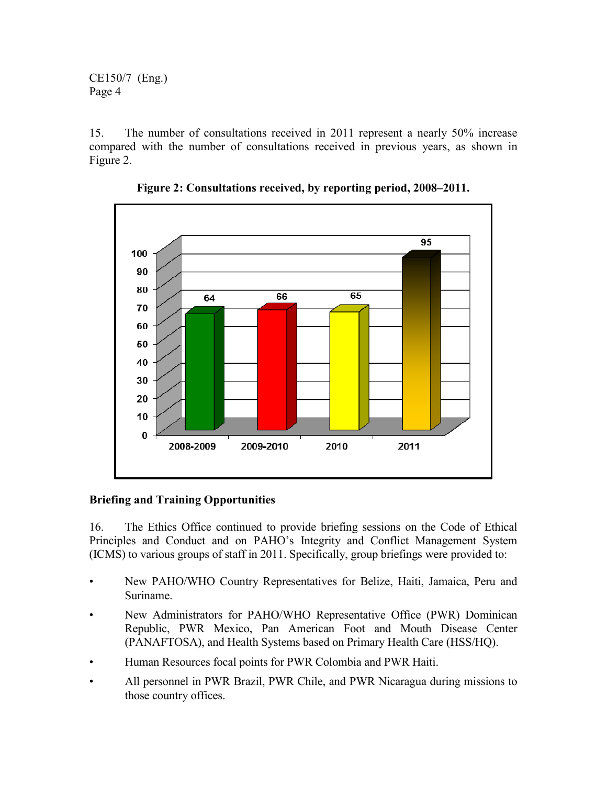15. The number of consultations received in 2011 represent a nearly 50% increase compared with the number of consultations received in previous years, as shown in Figure 2.



**Figure 2: Consultations received, by reporting period, 2008–2011.** 

# **Briefing and Training Opportunities**

16. The Ethics Office continued to provide briefing sessions on the Code of Ethical Principles and Conduct and on PAHO's Integrity and Conflict Management System (ICMS) to various groups of staff in 2011. Specifically, group briefings were provided to:

- New PAHO/WHO Country Representatives for Belize, Haiti, Jamaica, Peru and Suriname.
- New Administrators for PAHO/WHO Representative Office (PWR) Dominican Republic, PWR Mexico, Pan American Foot and Mouth Disease Center (PANAFTOSA), and Health Systems based on Primary Health Care (HSS/HQ).
- Human Resources focal points for PWR Colombia and PWR Haiti.
- All personnel in PWR Brazil, PWR Chile, and PWR Nicaragua during missions to those country offices.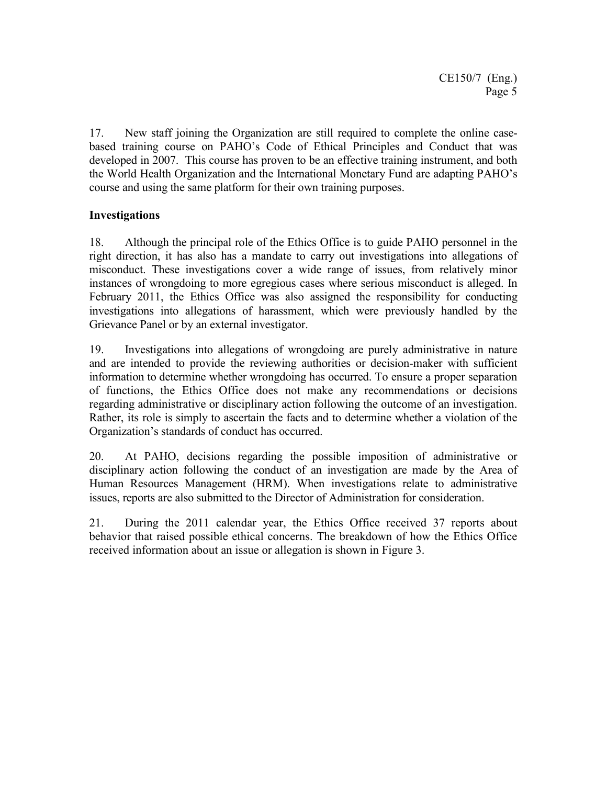17. New staff joining the Organization are still required to complete the online casebased training course on PAHO's Code of Ethical Principles and Conduct that was developed in 2007. This course has proven to be an effective training instrument, and both the World Health Organization and the International Monetary Fund are adapting PAHO's course and using the same platform for their own training purposes.

## **Investigations**

18. Although the principal role of the Ethics Office is to guide PAHO personnel in the right direction, it has also has a mandate to carry out investigations into allegations of misconduct. These investigations cover a wide range of issues, from relatively minor instances of wrongdoing to more egregious cases where serious misconduct is alleged. In February 2011, the Ethics Office was also assigned the responsibility for conducting investigations into allegations of harassment, which were previously handled by the Grievance Panel or by an external investigator.

19. Investigations into allegations of wrongdoing are purely administrative in nature and are intended to provide the reviewing authorities or decision-maker with sufficient information to determine whether wrongdoing has occurred. To ensure a proper separation of functions, the Ethics Office does not make any recommendations or decisions regarding administrative or disciplinary action following the outcome of an investigation. Rather, its role is simply to ascertain the facts and to determine whether a violation of the Organization's standards of conduct has occurred.

20. At PAHO, decisions regarding the possible imposition of administrative or disciplinary action following the conduct of an investigation are made by the Area of Human Resources Management (HRM). When investigations relate to administrative issues, reports are also submitted to the Director of Administration for consideration.

21. During the 2011 calendar year, the Ethics Office received 37 reports about behavior that raised possible ethical concerns. The breakdown of how the Ethics Office received information about an issue or allegation is shown in Figure 3.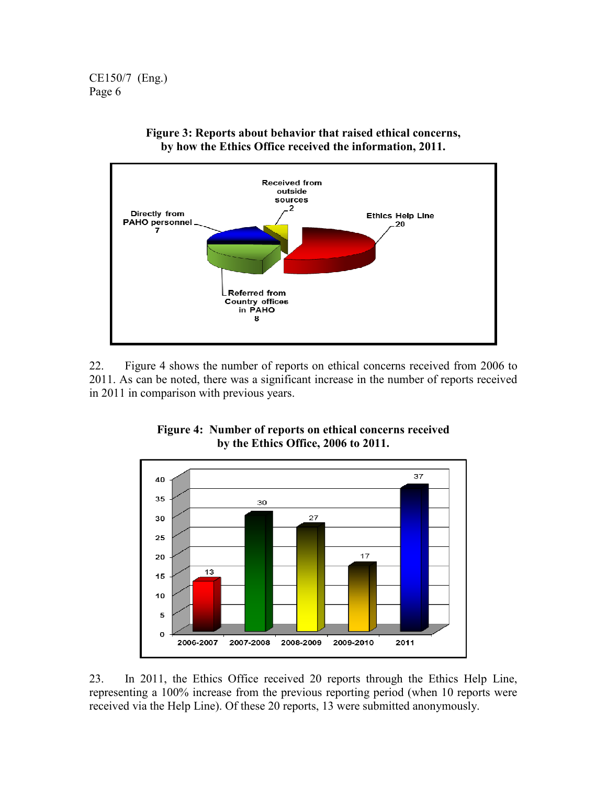

**Figure 3: Reports about behavior that raised ethical concerns, by how the Ethics Office received the information, 2011.** 

22. Figure 4 shows the number of reports on ethical concerns received from 2006 to 2011. As can be noted, there was a significant increase in the number of reports received in 2011 in comparison with previous years.



## **Figure 4: Number of reports on ethical concerns received by the Ethics Office, 2006 to 2011.**

23. In 2011, the Ethics Office received 20 reports through the Ethics Help Line, representing a 100% increase from the previous reporting period (when 10 reports were received via the Help Line). Of these 20 reports, 13 were submitted anonymously.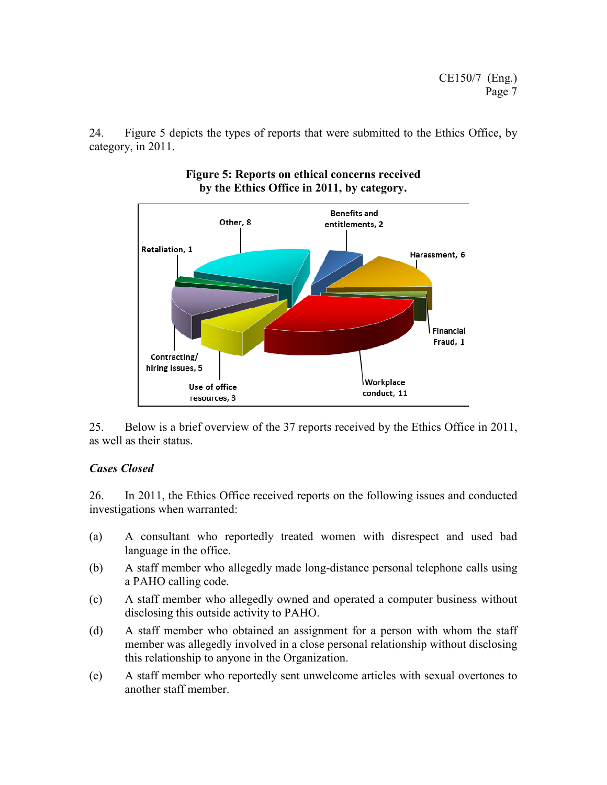24. Figure 5 depicts the types of reports that were submitted to the Ethics Office, by category, in 2011.



#### **Figure 5: Reports on ethical concerns received by the Ethics Office in 2011, by category.**

25. Below is a brief overview of the 37 reports received by the Ethics Office in 2011, as well as their status.

# *Cases Closed*

26. In 2011, the Ethics Office received reports on the following issues and conducted investigations when warranted:

- (a) A consultant who reportedly treated women with disrespect and used bad language in the office.
- (b) A staff member who allegedly made long-distance personal telephone calls using a PAHO calling code.
- (c) A staff member who allegedly owned and operated a computer business without disclosing this outside activity to PAHO.
- (d) A staff member who obtained an assignment for a person with whom the staff member was allegedly involved in a close personal relationship without disclosing this relationship to anyone in the Organization.
- (e) A staff member who reportedly sent unwelcome articles with sexual overtones to another staff member.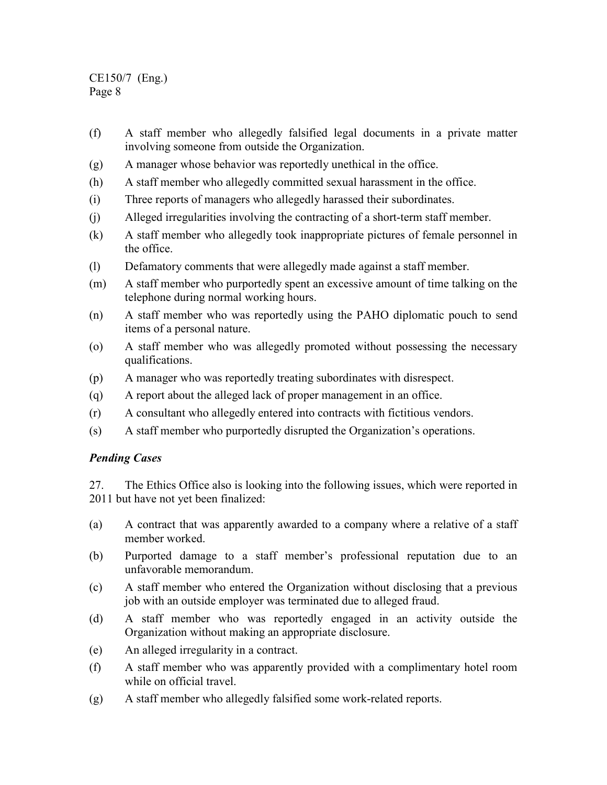- (f) A staff member who allegedly falsified legal documents in a private matter involving someone from outside the Organization.
- (g) A manager whose behavior was reportedly unethical in the office.
- (h) A staff member who allegedly committed sexual harassment in the office.
- (i) Three reports of managers who allegedly harassed their subordinates.
- (j) Alleged irregularities involving the contracting of a short-term staff member.
- (k) A staff member who allegedly took inappropriate pictures of female personnel in the office.
- (l) Defamatory comments that were allegedly made against a staff member.
- (m) A staff member who purportedly spent an excessive amount of time talking on the telephone during normal working hours.
- (n) A staff member who was reportedly using the PAHO diplomatic pouch to send items of a personal nature.
- (o) A staff member who was allegedly promoted without possessing the necessary qualifications.
- (p) A manager who was reportedly treating subordinates with disrespect.
- (q) A report about the alleged lack of proper management in an office.
- (r) A consultant who allegedly entered into contracts with fictitious vendors.
- (s) A staff member who purportedly disrupted the Organization's operations.

# *Pending Cases*

27. The Ethics Office also is looking into the following issues, which were reported in 2011 but have not yet been finalized:

- (a) A contract that was apparently awarded to a company where a relative of a staff member worked.
- (b) Purported damage to a staff member's professional reputation due to an unfavorable memorandum.
- (c) A staff member who entered the Organization without disclosing that a previous job with an outside employer was terminated due to alleged fraud.
- (d) A staff member who was reportedly engaged in an activity outside the Organization without making an appropriate disclosure.
- (e) An alleged irregularity in a contract.
- (f) A staff member who was apparently provided with a complimentary hotel room while on official travel.
- (g) A staff member who allegedly falsified some work-related reports.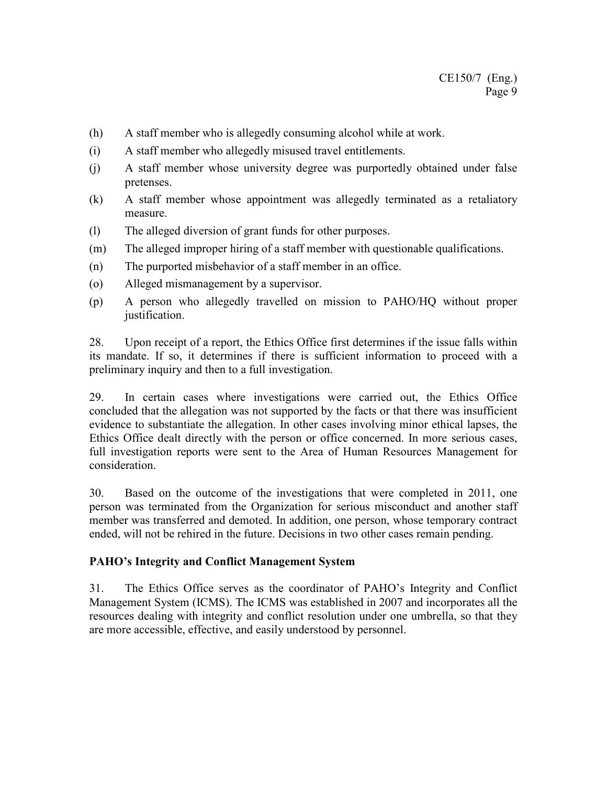- (h) A staff member who is allegedly consuming alcohol while at work.
- (i) A staff member who allegedly misused travel entitlements.
- (j) A staff member whose university degree was purportedly obtained under false pretenses.
- (k) A staff member whose appointment was allegedly terminated as a retaliatory measure.
- (l) The alleged diversion of grant funds for other purposes.
- (m) The alleged improper hiring of a staff member with questionable qualifications.
- (n) The purported misbehavior of a staff member in an office.
- (o) Alleged mismanagement by a supervisor.
- (p) A person who allegedly travelled on mission to PAHO/HQ without proper justification.

28. Upon receipt of a report, the Ethics Office first determines if the issue falls within its mandate. If so, it determines if there is sufficient information to proceed with a preliminary inquiry and then to a full investigation.

29. In certain cases where investigations were carried out, the Ethics Office concluded that the allegation was not supported by the facts or that there was insufficient evidence to substantiate the allegation. In other cases involving minor ethical lapses, the Ethics Office dealt directly with the person or office concerned. In more serious cases, full investigation reports were sent to the Area of Human Resources Management for consideration.

30. Based on the outcome of the investigations that were completed in 2011, one person was terminated from the Organization for serious misconduct and another staff member was transferred and demoted. In addition, one person, whose temporary contract ended, will not be rehired in the future. Decisions in two other cases remain pending.

#### **PAHO's Integrity and Conflict Management System**

31. The Ethics Office serves as the coordinator of PAHO's Integrity and Conflict Management System (ICMS). The ICMS was established in 2007 and incorporates all the resources dealing with integrity and conflict resolution under one umbrella, so that they are more accessible, effective, and easily understood by personnel.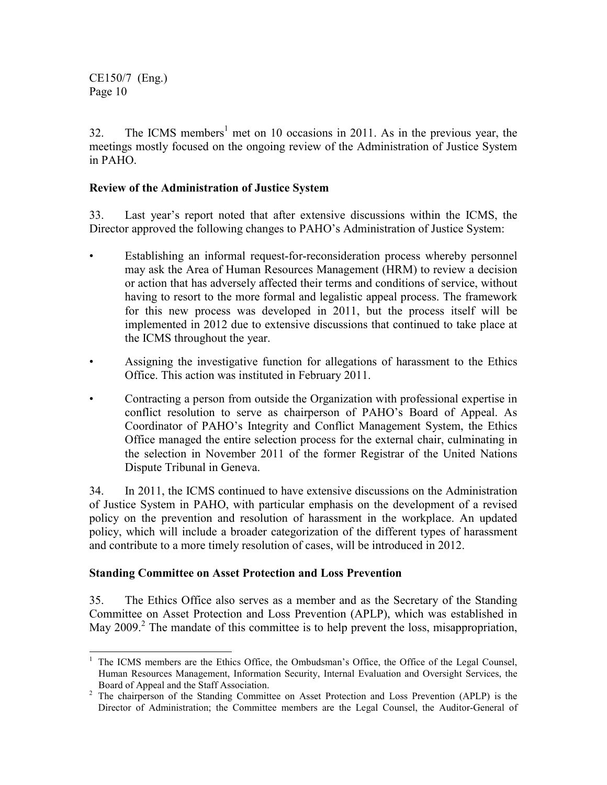32. The ICMS members<sup>1</sup> met on 10 occasions in 2011. As in the previous year, the meetings mostly focused on the ongoing review of the Administration of Justice System in PAHO.

### **Review of the Administration of Justice System**

33. Last year's report noted that after extensive discussions within the ICMS, the Director approved the following changes to PAHO's Administration of Justice System:

- Establishing an informal request-for-reconsideration process whereby personnel may ask the Area of Human Resources Management (HRM) to review a decision or action that has adversely affected their terms and conditions of service, without having to resort to the more formal and legalistic appeal process. The framework for this new process was developed in 2011, but the process itself will be implemented in 2012 due to extensive discussions that continued to take place at the ICMS throughout the year.
- Assigning the investigative function for allegations of harassment to the Ethics Office. This action was instituted in February 2011.
- Contracting a person from outside the Organization with professional expertise in conflict resolution to serve as chairperson of PAHO's Board of Appeal. As Coordinator of PAHO's Integrity and Conflict Management System, the Ethics Office managed the entire selection process for the external chair, culminating in the selection in November 2011 of the former Registrar of the United Nations Dispute Tribunal in Geneva.

34. In 2011, the ICMS continued to have extensive discussions on the Administration of Justice System in PAHO, with particular emphasis on the development of a revised policy on the prevention and resolution of harassment in the workplace. An updated policy, which will include a broader categorization of the different types of harassment and contribute to a more timely resolution of cases, will be introduced in 2012.

#### **Standing Committee on Asset Protection and Loss Prevention**

35. The Ethics Office also serves as a member and as the Secretary of the Standing Committee on Asset Protection and Loss Prevention (APLP), which was established in May 2009.<sup>2</sup> The mandate of this committee is to help prevent the loss, misappropriation,

<sup>&</sup>lt;sup>1</sup> The ICMS members are the Ethics Office, the Ombudsman's Office, the Office of the Legal Counsel, Human Resources Management, Information Security, Internal Evaluation and Oversight Services, the Board of Appeal and the Staff Association.

<sup>&</sup>lt;sup>2</sup> The chairperson of the Standing Committee on Asset Protection and Loss Prevention (APLP) is the Director of Administration; the Committee members are the Legal Counsel, the Auditor-General of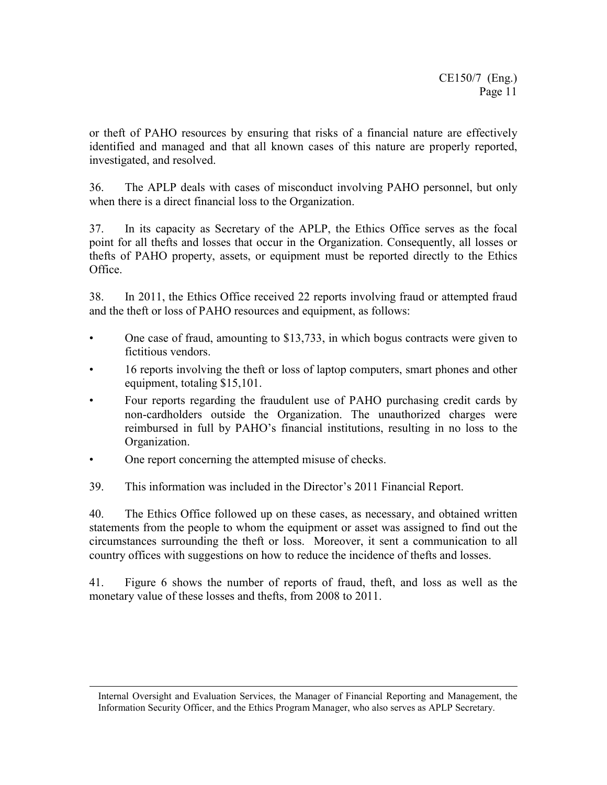or theft of PAHO resources by ensuring that risks of a financial nature are effectively identified and managed and that all known cases of this nature are properly reported, investigated, and resolved.

36. The APLP deals with cases of misconduct involving PAHO personnel, but only when there is a direct financial loss to the Organization.

37. In its capacity as Secretary of the APLP, the Ethics Office serves as the focal point for all thefts and losses that occur in the Organization. Consequently, all losses or thefts of PAHO property, assets, or equipment must be reported directly to the Ethics Office.

38. In 2011, the Ethics Office received 22 reports involving fraud or attempted fraud and the theft or loss of PAHO resources and equipment, as follows:

- One case of fraud, amounting to \$13,733, in which bogus contracts were given to fictitious vendors.
- 16 reports involving the theft or loss of laptop computers, smart phones and other equipment, totaling \$15,101.
- Four reports regarding the fraudulent use of PAHO purchasing credit cards by non-cardholders outside the Organization. The unauthorized charges were reimbursed in full by PAHO's financial institutions, resulting in no loss to the Organization.
- One report concerning the attempted misuse of checks.

 $\overline{a}$ 

39. This information was included in the Director's 2011 Financial Report.

40. The Ethics Office followed up on these cases, as necessary, and obtained written statements from the people to whom the equipment or asset was assigned to find out the circumstances surrounding the theft or loss. Moreover, it sent a communication to all country offices with suggestions on how to reduce the incidence of thefts and losses.

41. Figure 6 shows the number of reports of fraud, theft, and loss as well as the monetary value of these losses and thefts, from 2008 to 2011.

Internal Oversight and Evaluation Services, the Manager of Financial Reporting and Management, the Information Security Officer, and the Ethics Program Manager, who also serves as APLP Secretary.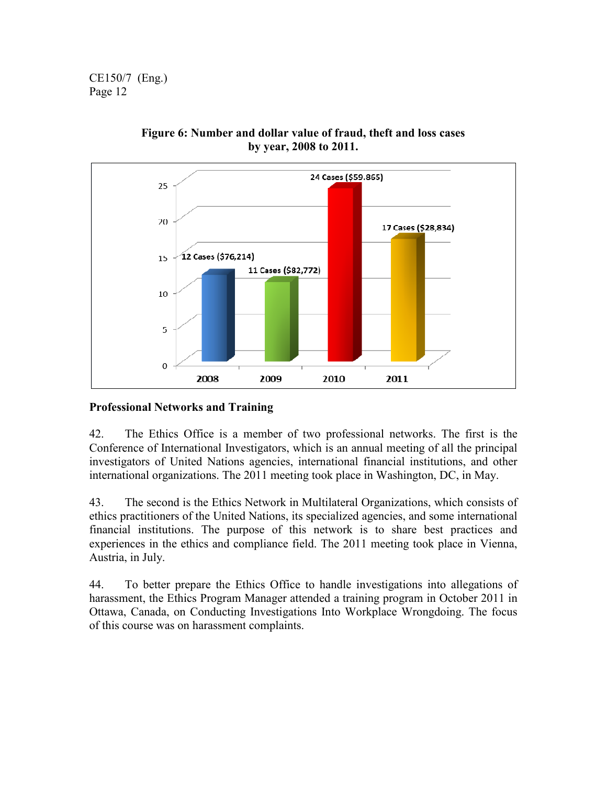

**Figure 6: Number and dollar value of fraud, theft and loss cases by year, 2008 to 2011.**

# **Professional Networks and Training**

42. The Ethics Office is a member of two professional networks. The first is the Conference of International Investigators, which is an annual meeting of all the principal investigators of United Nations agencies, international financial institutions, and other international organizations. The 2011 meeting took place in Washington, DC, in May.

43. The second is the Ethics Network in Multilateral Organizations, which consists of ethics practitioners of the United Nations, its specialized agencies, and some international financial institutions. The purpose of this network is to share best practices and experiences in the ethics and compliance field. The 2011 meeting took place in Vienna, Austria, in July.

44. To better prepare the Ethics Office to handle investigations into allegations of harassment, the Ethics Program Manager attended a training program in October 2011 in Ottawa, Canada, on Conducting Investigations Into Workplace Wrongdoing. The focus of this course was on harassment complaints.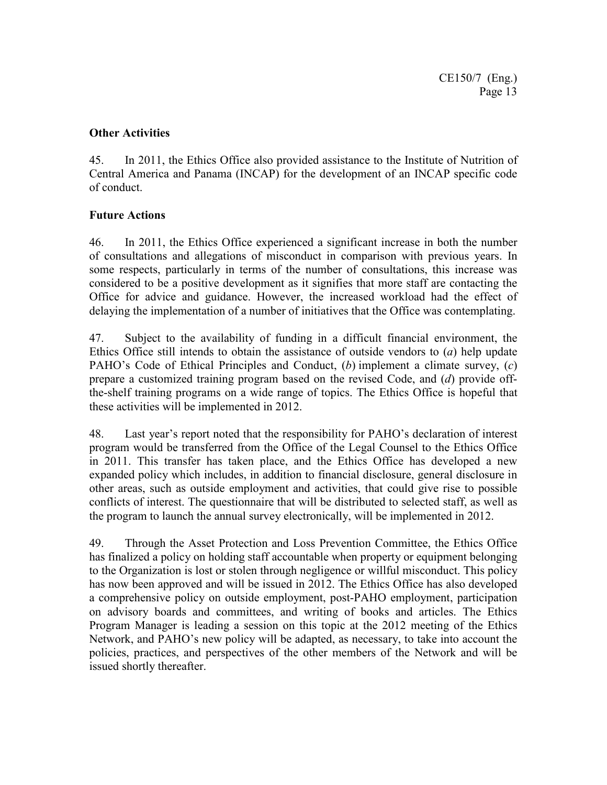### **Other Activities**

45. In 2011, the Ethics Office also provided assistance to the Institute of Nutrition of Central America and Panama (INCAP) for the development of an INCAP specific code of conduct.

## **Future Actions**

46. In 2011, the Ethics Office experienced a significant increase in both the number of consultations and allegations of misconduct in comparison with previous years. In some respects, particularly in terms of the number of consultations, this increase was considered to be a positive development as it signifies that more staff are contacting the Office for advice and guidance. However, the increased workload had the effect of delaying the implementation of a number of initiatives that the Office was contemplating.

47. Subject to the availability of funding in a difficult financial environment, the Ethics Office still intends to obtain the assistance of outside vendors to (*a*) help update PAHO's Code of Ethical Principles and Conduct, (*b*) implement a climate survey, (*c*) prepare a customized training program based on the revised Code, and (*d*) provide offthe-shelf training programs on a wide range of topics. The Ethics Office is hopeful that these activities will be implemented in 2012.

48. Last year's report noted that the responsibility for PAHO's declaration of interest program would be transferred from the Office of the Legal Counsel to the Ethics Office in 2011. This transfer has taken place, and the Ethics Office has developed a new expanded policy which includes, in addition to financial disclosure, general disclosure in other areas, such as outside employment and activities, that could give rise to possible conflicts of interest. The questionnaire that will be distributed to selected staff, as well as the program to launch the annual survey electronically, will be implemented in 2012.

49. Through the Asset Protection and Loss Prevention Committee, the Ethics Office has finalized a policy on holding staff accountable when property or equipment belonging to the Organization is lost or stolen through negligence or willful misconduct. This policy has now been approved and will be issued in 2012. The Ethics Office has also developed a comprehensive policy on outside employment, post-PAHO employment, participation on advisory boards and committees, and writing of books and articles. The Ethics Program Manager is leading a session on this topic at the 2012 meeting of the Ethics Network, and PAHO's new policy will be adapted, as necessary, to take into account the policies, practices, and perspectives of the other members of the Network and will be issued shortly thereafter.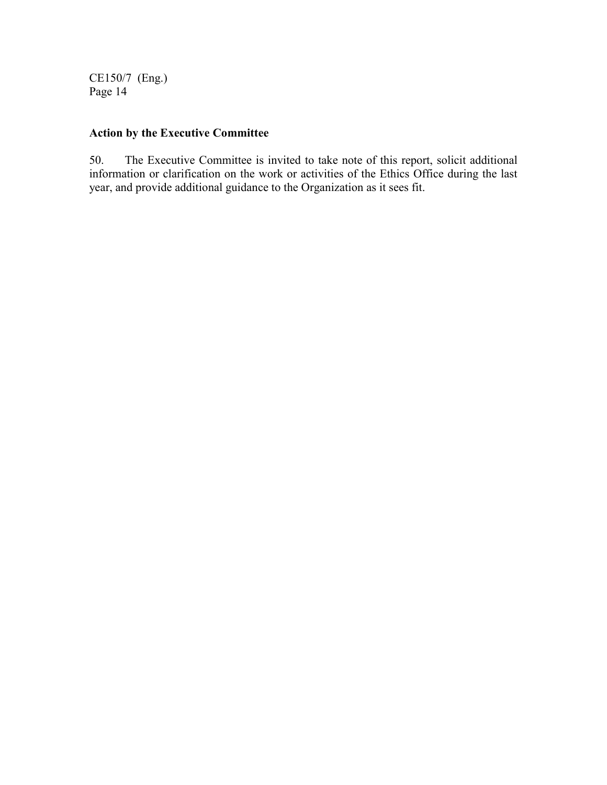# **Action by the Executive Committee**

50. The Executive Committee is invited to take note of this report, solicit additional information or clarification on the work or activities of the Ethics Office during the last year, and provide additional guidance to the Organization as it sees fit.